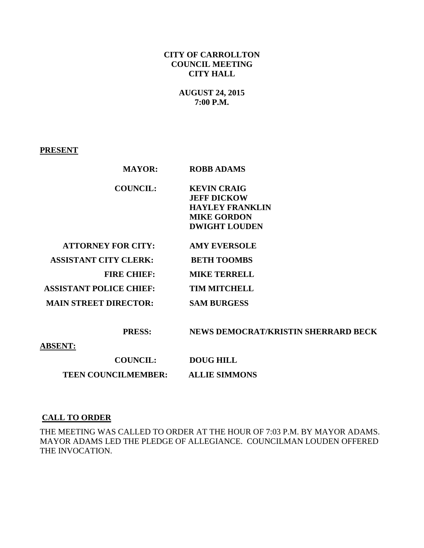# **CITY OF CARROLLTON COUNCIL MEETING CITY HALL**

## **AUGUST 24, 2015 7:00 P.M.**

### **PRESENT**

| <b>MAYOR:</b>                  | <b>ROBB ADAMS</b>      |  |
|--------------------------------|------------------------|--|
| <b>COUNCIL:</b>                | <b>KEVIN CRAIG</b>     |  |
|                                | <b>JEFF DICKOW</b>     |  |
|                                | <b>HAYLEY FRANKLIN</b> |  |
|                                | <b>MIKE GORDON</b>     |  |
|                                | <b>DWIGHT LOUDEN</b>   |  |
|                                |                        |  |
| <b>ATTORNEY FOR CITY:</b>      | <b>AMY EVERSOLE</b>    |  |
| <b>ASSISTANT CITY CLERK:</b>   | <b>BETH TOOMBS</b>     |  |
| <b>FIRE CHIEF:</b>             | <b>MIKE TERRELL</b>    |  |
| <b>ASSISTANT POLICE CHIEF:</b> | <b>TIM MITCHELL</b>    |  |
| <b>MAIN STREET DIRECTOR:</b>   | <b>SAM BURGESS</b>     |  |
|                                |                        |  |

 **PRESS: NEWS DEMOCRAT/KRISTIN SHERRARD BECK** 

### **ABSENT:**

**COUNCIL: DOUG HILL TEEN COUNCILMEMBER: ALLIE SIMMONS** 

### **CALL TO ORDER**

THE MEETING WAS CALLED TO ORDER AT THE HOUR OF 7:03 P.M. BY MAYOR ADAMS. MAYOR ADAMS LED THE PLEDGE OF ALLEGIANCE. COUNCILMAN LOUDEN OFFERED THE INVOCATION.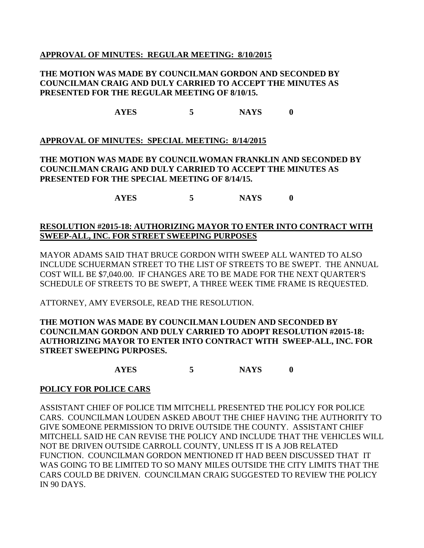### **APPROVAL OF MINUTES: REGULAR MEETING: 8/10/2015**

### **THE MOTION WAS MADE BY COUNCILMAN GORDON AND SECONDED BY COUNCILMAN CRAIG AND DULY CARRIED TO ACCEPT THE MINUTES AS PRESENTED FOR THE REGULAR MEETING OF 8/10/15.**

**AYES 5 NAYS 0**

# **APPROVAL OF MINUTES: SPECIAL MEETING: 8/14/2015**

# **THE MOTION WAS MADE BY COUNCILWOMAN FRANKLIN AND SECONDED BY COUNCILMAN CRAIG AND DULY CARRIED TO ACCEPT THE MINUTES AS PRESENTED FOR THE SPECIAL MEETING OF 8/14/15.**

**AYES 5 NAYS 0**

## **RESOLUTION #2015-18: AUTHORIZING MAYOR TO ENTER INTO CONTRACT WITH SWEEP-ALL, INC. FOR STREET SWEEPING PURPOSES**

MAYOR ADAMS SAID THAT BRUCE GORDON WITH SWEEP ALL WANTED TO ALSO INCLUDE SCHUERMAN STREET TO THE LIST OF STREETS TO BE SWEPT. THE ANNUAL COST WILL BE \$7,040.00. IF CHANGES ARE TO BE MADE FOR THE NEXT QUARTER'S SCHEDULE OF STREETS TO BE SWEPT, A THREE WEEK TIME FRAME IS REQUESTED.

ATTORNEY, AMY EVERSOLE, READ THE RESOLUTION.

# **THE MOTION WAS MADE BY COUNCILMAN LOUDEN AND SECONDED BY COUNCILMAN GORDON AND DULY CARRIED TO ADOPT RESOLUTION #2015-18: AUTHORIZING MAYOR TO ENTER INTO CONTRACT WITH SWEEP-ALL, INC. FOR STREET SWEEPING PURPOSES.**

**AYES 5 NAYS 0**

### **POLICY FOR POLICE CARS**

ASSISTANT CHIEF OF POLICE TIM MITCHELL PRESENTED THE POLICY FOR POLICE CARS. COUNCILMAN LOUDEN ASKED ABOUT THE CHIEF HAVING THE AUTHORITY TO GIVE SOMEONE PERMISSION TO DRIVE OUTSIDE THE COUNTY. ASSISTANT CHIEF MITCHELL SAID HE CAN REVISE THE POLICY AND INCLUDE THAT THE VEHICLES WILL NOT BE DRIVEN OUTSIDE CARROLL COUNTY, UNLESS IT IS A JOB RELATED FUNCTION. COUNCILMAN GORDON MENTIONED IT HAD BEEN DISCUSSED THAT IT WAS GOING TO BE LIMITED TO SO MANY MILES OUTSIDE THE CITY LIMITS THAT THE CARS COULD BE DRIVEN. COUNCILMAN CRAIG SUGGESTED TO REVIEW THE POLICY IN 90 DAYS.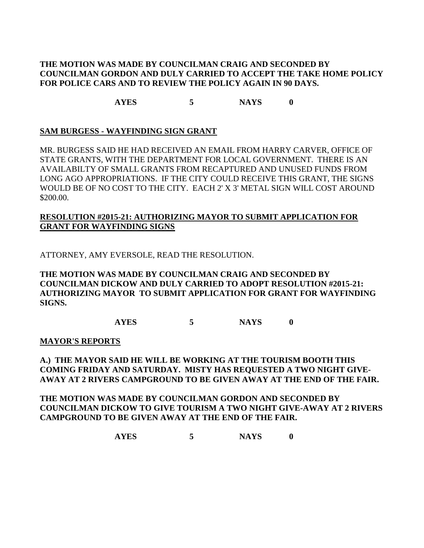## **THE MOTION WAS MADE BY COUNCILMAN CRAIG AND SECONDED BY COUNCILMAN GORDON AND DULY CARRIED TO ACCEPT THE TAKE HOME POLICY FOR POLICE CARS AND TO REVIEW THE POLICY AGAIN IN 90 DAYS.**

**AYES 5 NAYS 0**

### **SAM BURGESS - WAYFINDING SIGN GRANT**

MR. BURGESS SAID HE HAD RECEIVED AN EMAIL FROM HARRY CARVER, OFFICE OF STATE GRANTS, WITH THE DEPARTMENT FOR LOCAL GOVERNMENT. THERE IS AN AVAILABILTY OF SMALL GRANTS FROM RECAPTURED AND UNUSED FUNDS FROM LONG AGO APPROPRIATIONS. IF THE CITY COULD RECEIVE THIS GRANT, THE SIGNS WOULD BE OF NO COST TO THE CITY. EACH 2' X 3' METAL SIGN WILL COST AROUND \$200.00.

# **RESOLUTION #2015-21: AUTHORIZING MAYOR TO SUBMIT APPLICATION FOR GRANT FOR WAYFINDING SIGNS**

ATTORNEY, AMY EVERSOLE, READ THE RESOLUTION.

**THE MOTION WAS MADE BY COUNCILMAN CRAIG AND SECONDED BY COUNCILMAN DICKOW AND DULY CARRIED TO ADOPT RESOLUTION #2015-21: AUTHORIZING MAYOR TO SUBMIT APPLICATION FOR GRANT FOR WAYFINDING SIGNS.**

**AYES 5 NAYS 0**

### **MAYOR'S REPORTS**

**A.) THE MAYOR SAID HE WILL BE WORKING AT THE TOURISM BOOTH THIS COMING FRIDAY AND SATURDAY. MISTY HAS REQUESTED A TWO NIGHT GIVE-AWAY AT 2 RIVERS CAMPGROUND TO BE GIVEN AWAY AT THE END OF THE FAIR.** 

**THE MOTION WAS MADE BY COUNCILMAN GORDON AND SECONDED BY COUNCILMAN DICKOW TO GIVE TOURISM A TWO NIGHT GIVE-AWAY AT 2 RIVERS CAMPGROUND TO BE GIVEN AWAY AT THE END OF THE FAIR.**

**AYES 5 NAYS 0**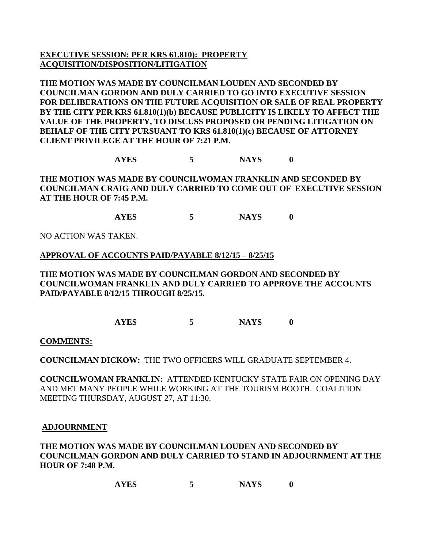# **EXECUTIVE SESSION: PER KRS 61.810): PROPERTY ACQUISITION/DISPOSITION/LITIGATION**

**THE MOTION WAS MADE BY COUNCILMAN LOUDEN AND SECONDED BY COUNCILMAN GORDON AND DULY CARRIED TO GO INTO EXECUTIVE SESSION FOR DELIBERATIONS ON THE FUTURE ACQUISITION OR SALE OF REAL PROPERTY BY THE CITY PER KRS 61.810(1)(b) BECAUSE PUBLICITY IS LIKELY TO AFFECT THE VALUE OF THE PROPERTY, TO DISCUSS PROPOSED OR PENDING LITIGATION ON BEHALF OF THE CITY PURSUANT TO KRS 61.810(1)(c) BECAUSE OF ATTORNEY CLIENT PRIVILEGE AT THE HOUR OF 7:21 P.M.**

**AYES 5 NAYS 0**

**THE MOTION WAS MADE BY COUNCILWOMAN FRANKLIN AND SECONDED BY COUNCILMAN CRAIG AND DULY CARRIED TO COME OUT OF EXECUTIVE SESSION AT THE HOUR OF 7:45 P.M.**

**AYES 5 NAYS 0**

NO ACTION WAS TAKEN.

### **APPROVAL OF ACCOUNTS PAID/PAYABLE 8/12/15 – 8/25/15**

**THE MOTION WAS MADE BY COUNCILMAN GORDON AND SECONDED BY COUNCILWOMAN FRANKLIN AND DULY CARRIED TO APPROVE THE ACCOUNTS PAID/PAYABLE 8/12/15 THROUGH 8/25/15.**

**AYES 5 NAYS 0**

**COMMENTS:**

**COUNCILMAN DICKOW:** THE TWO OFFICERS WILL GRADUATE SEPTEMBER 4.

**COUNCILWOMAN FRANKLIN:** ATTENDED KENTUCKY STATE FAIR ON OPENING DAY AND MET MANY PEOPLE WHILE WORKING AT THE TOURISM BOOTH. COALITION MEETING THURSDAY, AUGUST 27, AT 11:30.

### **ADJOURNMENT**

**THE MOTION WAS MADE BY COUNCILMAN LOUDEN AND SECONDED BY COUNCILMAN GORDON AND DULY CARRIED TO STAND IN ADJOURNMENT AT THE HOUR OF 7:48 P.M.**

**AYES 5 NAYS 0**